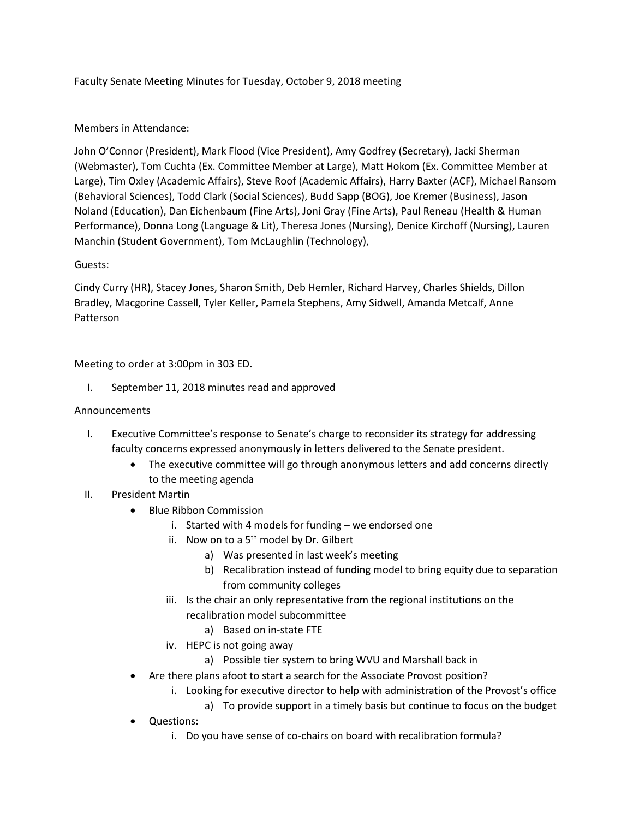Faculty Senate Meeting Minutes for Tuesday, October 9, 2018 meeting

# Members in Attendance:

John O'Connor (President), Mark Flood (Vice President), Amy Godfrey (Secretary), Jacki Sherman (Webmaster), Tom Cuchta (Ex. Committee Member at Large), Matt Hokom (Ex. Committee Member at Large), Tim Oxley (Academic Affairs), Steve Roof (Academic Affairs), Harry Baxter (ACF), Michael Ransom (Behavioral Sciences), Todd Clark (Social Sciences), Budd Sapp (BOG), Joe Kremer (Business), Jason Noland (Education), Dan Eichenbaum (Fine Arts), Joni Gray (Fine Arts), Paul Reneau (Health & Human Performance), Donna Long (Language & Lit), Theresa Jones (Nursing), Denice Kirchoff (Nursing), Lauren Manchin (Student Government), Tom McLaughlin (Technology),

# Guests:

Cindy Curry (HR), Stacey Jones, Sharon Smith, Deb Hemler, Richard Harvey, Charles Shields, Dillon Bradley, Macgorine Cassell, Tyler Keller, Pamela Stephens, Amy Sidwell, Amanda Metcalf, Anne Patterson

Meeting to order at 3:00pm in 303 ED.

I. September 11, 2018 minutes read and approved

# Announcements

- I. Executive Committee's response to Senate's charge to reconsider its strategy for addressing faculty concerns expressed anonymously in letters delivered to the Senate president.
	- The executive committee will go through anonymous letters and add concerns directly to the meeting agenda
- II. President Martin
	- Blue Ribbon Commission
		- i. Started with 4 models for funding we endorsed one
		- ii. Now on to a  $5<sup>th</sup>$  model by Dr. Gilbert
			- a) Was presented in last week's meeting
			- b) Recalibration instead of funding model to bring equity due to separation from community colleges
		- iii. Is the chair an only representative from the regional institutions on the recalibration model subcommittee
			- a) Based on in-state FTE
		- iv. HEPC is not going away
			- a) Possible tier system to bring WVU and Marshall back in
		- Are there plans afoot to start a search for the Associate Provost position?
			- i. Looking for executive director to help with administration of the Provost's office
				- a) To provide support in a timely basis but continue to focus on the budget
	- Questions:
		- i. Do you have sense of co-chairs on board with recalibration formula?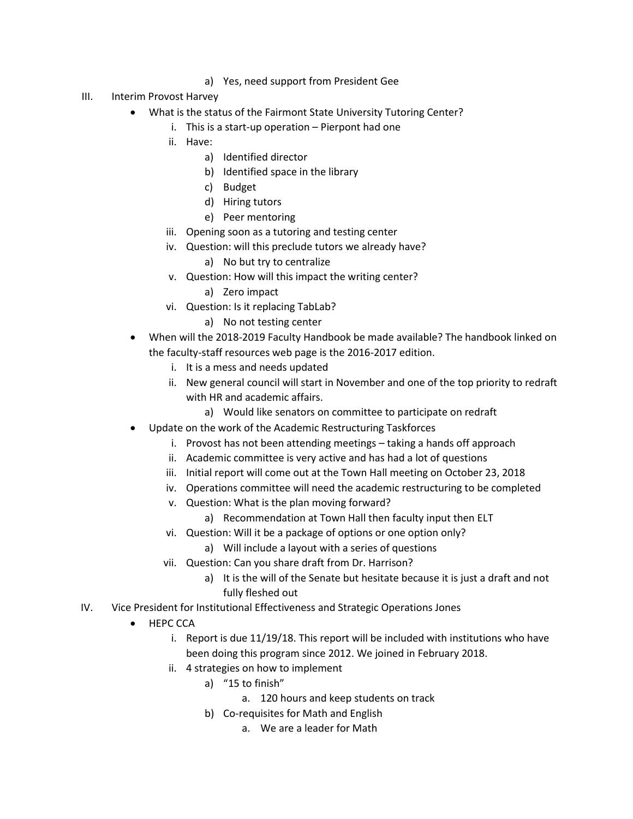- a) Yes, need support from President Gee
- III. Interim Provost Harvey
	- What is the status of the Fairmont State University Tutoring Center?
		- i. This is a start-up operation Pierpont had one
		- ii. Have:
			- a) Identified director
			- b) Identified space in the library
			- c) Budget
			- d) Hiring tutors
			- e) Peer mentoring
		- iii. Opening soon as a tutoring and testing center
		- iv. Question: will this preclude tutors we already have?
			- a) No but try to centralize
		- v. Question: How will this impact the writing center?
			- a) Zero impact
		- vi. Question: Is it replacing TabLab?
			- a) No not testing center
	- When will the 2018-2019 Faculty Handbook be made available? The handbook linked on the faculty-staff resources web page is the 2016-2017 edition.
		- i. It is a mess and needs updated
		- ii. New general council will start in November and one of the top priority to redraft with HR and academic affairs.
			- a) Would like senators on committee to participate on redraft
	- Update on the work of the Academic Restructuring Taskforces
		- i. Provost has not been attending meetings taking a hands off approach
		- ii. Academic committee is very active and has had a lot of questions
		- iii. Initial report will come out at the Town Hall meeting on October 23, 2018
		- iv. Operations committee will need the academic restructuring to be completed
		- v. Question: What is the plan moving forward?
			- a) Recommendation at Town Hall then faculty input then ELT
		- vi. Question: Will it be a package of options or one option only?
			- a) Will include a layout with a series of questions
		- vii. Question: Can you share draft from Dr. Harrison?
			- a) It is the will of the Senate but hesitate because it is just a draft and not fully fleshed out
- IV. Vice President for Institutional Effectiveness and Strategic Operations Jones
	- HEPC CCA
		- i. Report is due 11/19/18. This report will be included with institutions who have been doing this program since 2012. We joined in February 2018.
		- ii. 4 strategies on how to implement
			- a) "15 to finish"
				- a. 120 hours and keep students on track
			- b) Co-requisites for Math and English
				- a. We are a leader for Math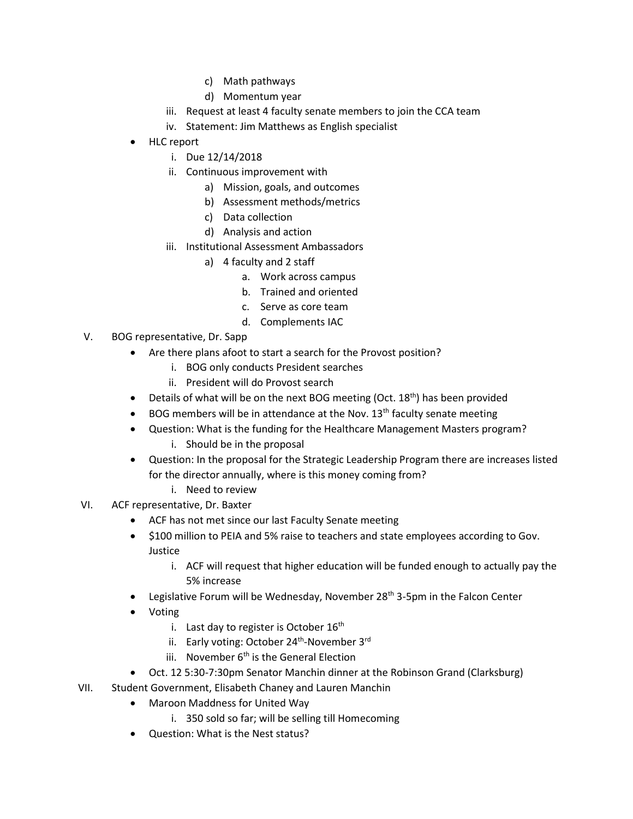- c) Math pathways
- d) Momentum year
- iii. Request at least 4 faculty senate members to join the CCA team
- iv. Statement: Jim Matthews as English specialist
- HLC report
	- i. Due 12/14/2018
	- ii. Continuous improvement with
		- a) Mission, goals, and outcomes
		- b) Assessment methods/metrics
		- c) Data collection
		- d) Analysis and action
	- iii. Institutional Assessment Ambassadors
		- a) 4 faculty and 2 staff
			- a. Work across campus
			- b. Trained and oriented
			- c. Serve as core team
			- d. Complements IAC
- V. BOG representative, Dr. Sapp
	- Are there plans afoot to start a search for the Provost position?
		- i. BOG only conducts President searches
		- ii. President will do Provost search
	- Details of what will be on the next BOG meeting (Oct.  $18<sup>th</sup>$ ) has been provided
	- $\bullet$  BOG members will be in attendance at the Nov. 13<sup>th</sup> faculty senate meeting
	- Question: What is the funding for the Healthcare Management Masters program?
		- i. Should be in the proposal
	- Question: In the proposal for the Strategic Leadership Program there are increases listed for the director annually, where is this money coming from?
		- i. Need to review
- VI. ACF representative, Dr. Baxter
	- ACF has not met since our last Faculty Senate meeting
	- \$100 million to PEIA and 5% raise to teachers and state employees according to Gov. Justice
		- i. ACF will request that higher education will be funded enough to actually pay the 5% increase
	- Legislative Forum will be Wednesday, November 28<sup>th</sup> 3-5pm in the Falcon Center
	- Voting
		- i. Last day to register is October  $16<sup>th</sup>$
		- ii. Early voting: October 24<sup>th</sup>-November 3<sup>rd</sup>
		- iii. November  $6<sup>th</sup>$  is the General Election
	- Oct. 12 5:30-7:30pm Senator Manchin dinner at the Robinson Grand (Clarksburg)
- VII. Student Government, Elisabeth Chaney and Lauren Manchin
	- Maroon Maddness for United Way
		- i. 350 sold so far; will be selling till Homecoming
	- Question: What is the Nest status?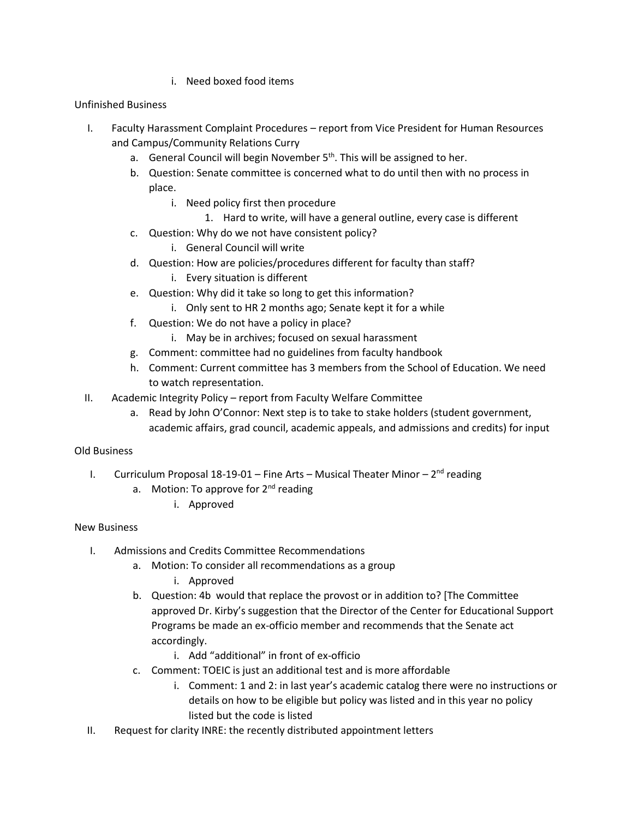i. Need boxed food items

# Unfinished Business

- I. Faculty Harassment Complaint Procedures report from Vice President for Human Resources and Campus/Community Relations Curry
	- a. General Council will begin November  $5<sup>th</sup>$ . This will be assigned to her.
	- b. Question: Senate committee is concerned what to do until then with no process in place.
		- i. Need policy first then procedure
			- 1. Hard to write, will have a general outline, every case is different
	- c. Question: Why do we not have consistent policy?
		- i. General Council will write
	- d. Question: How are policies/procedures different for faculty than staff?
		- i. Every situation is different
	- e. Question: Why did it take so long to get this information?
		- i. Only sent to HR 2 months ago; Senate kept it for a while
	- f. Question: We do not have a policy in place?
		- i. May be in archives; focused on sexual harassment
	- g. Comment: committee had no guidelines from faculty handbook
	- h. Comment: Current committee has 3 members from the School of Education. We need to watch representation.
- II. Academic Integrity Policy report from Faculty Welfare Committee
	- a. Read by John O'Connor: Next step is to take to stake holders (student government, academic affairs, grad council, academic appeals, and admissions and credits) for input

# Old Business

- I. Curriculum Proposal 18-19-01 Fine Arts Musical Theater Minor 2<sup>nd</sup> reading
	- a. Motion: To approve for 2<sup>nd</sup> reading
		- i. Approved

# New Business

- I. Admissions and Credits Committee Recommendations
	- a. Motion: To consider all recommendations as a group
		- i. Approved
	- b. Question: 4b would that replace the provost or in addition to? [The Committee approved Dr. Kirby's suggestion that the Director of the Center for Educational Support Programs be made an ex-officio member and recommends that the Senate act accordingly.
		- i. Add "additional" in front of ex-officio
	- c. Comment: TOEIC is just an additional test and is more affordable
		- i. Comment: 1 and 2: in last year's academic catalog there were no instructions or details on how to be eligible but policy was listed and in this year no policy listed but the code is listed
- II. Request for clarity INRE: the recently distributed appointment letters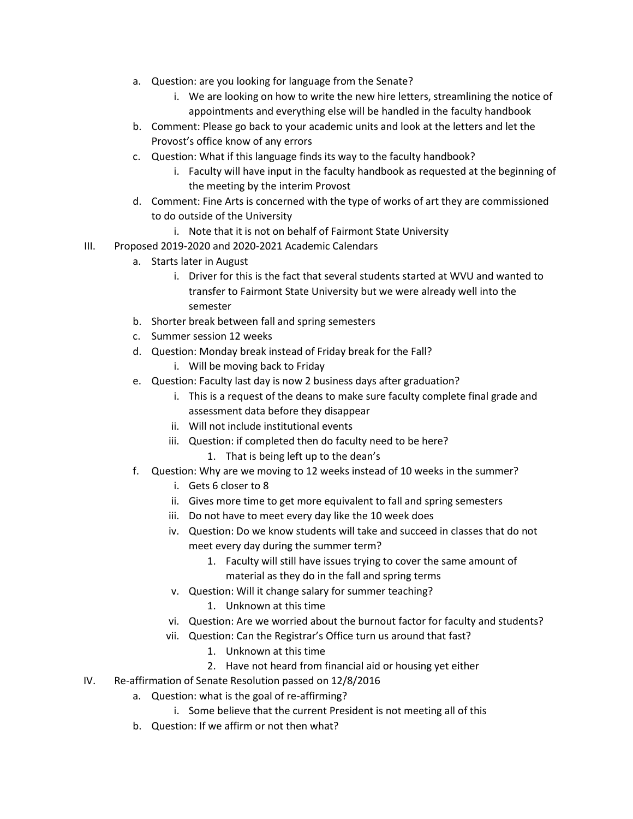- a. Question: are you looking for language from the Senate?
	- i. We are looking on how to write the new hire letters, streamlining the notice of appointments and everything else will be handled in the faculty handbook
- b. Comment: Please go back to your academic units and look at the letters and let the Provost's office know of any errors
- c. Question: What if this language finds its way to the faculty handbook?
	- i. Faculty will have input in the faculty handbook as requested at the beginning of the meeting by the interim Provost
- d. Comment: Fine Arts is concerned with the type of works of art they are commissioned to do outside of the University
	- i. Note that it is not on behalf of Fairmont State University
- III. Proposed 2019-2020 and 2020-2021 Academic Calendars
	- a. Starts later in August
		- i. Driver for this is the fact that several students started at WVU and wanted to transfer to Fairmont State University but we were already well into the semester
	- b. Shorter break between fall and spring semesters
	- c. Summer session 12 weeks
	- d. Question: Monday break instead of Friday break for the Fall?
		- i. Will be moving back to Friday
	- e. Question: Faculty last day is now 2 business days after graduation?
		- i. This is a request of the deans to make sure faculty complete final grade and assessment data before they disappear
		- ii. Will not include institutional events
		- iii. Question: if completed then do faculty need to be here?
			- 1. That is being left up to the dean's
	- f. Question: Why are we moving to 12 weeks instead of 10 weeks in the summer?
		- i. Gets 6 closer to 8
		- ii. Gives more time to get more equivalent to fall and spring semesters
		- iii. Do not have to meet every day like the 10 week does
		- iv. Question: Do we know students will take and succeed in classes that do not meet every day during the summer term?
			- 1. Faculty will still have issues trying to cover the same amount of material as they do in the fall and spring terms
		- v. Question: Will it change salary for summer teaching?
			- 1. Unknown at this time
		- vi. Question: Are we worried about the burnout factor for faculty and students?
		- vii. Question: Can the Registrar's Office turn us around that fast?
			- 1. Unknown at this time
			- 2. Have not heard from financial aid or housing yet either
- IV. Re-affirmation of Senate Resolution passed on 12/8/2016
	- a. Question: what is the goal of re-affirming?
		- i. Some believe that the current President is not meeting all of this
	- b. Question: If we affirm or not then what?